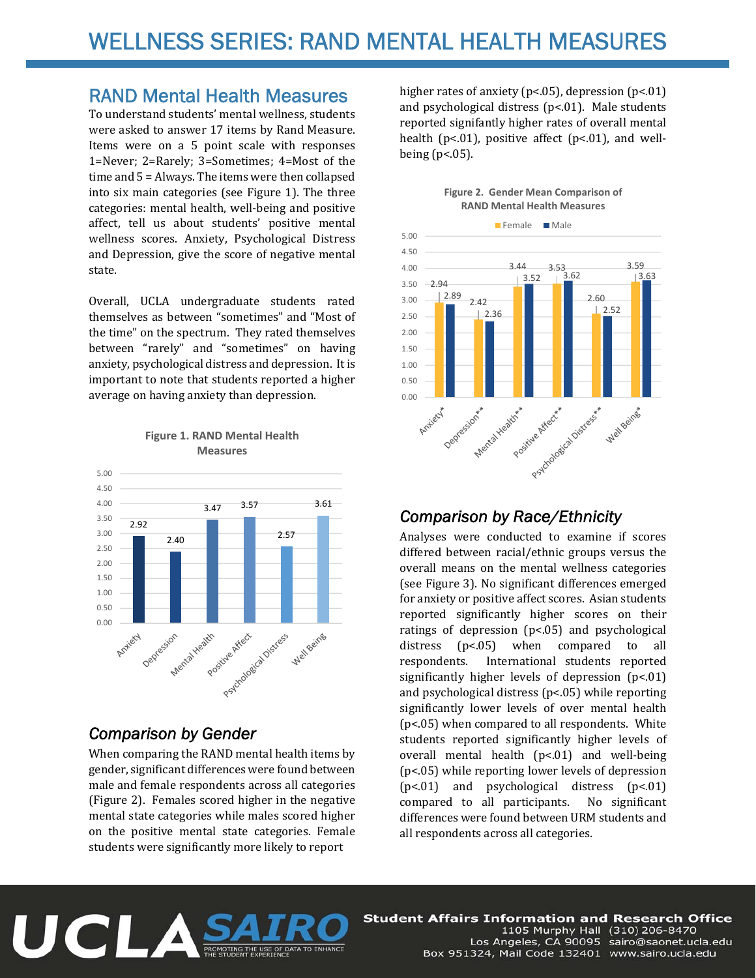## RAND Mental Health Measures

To understand students' mental wellness, students were asked to answer 17 items by Rand Measure. Items were on a 5 point scale with responses 1=Never; 2=Rarely; 3=Sometimes; 4=Most of the time and  $5 =$  Always. The items were then collapsed into six main categories (see Figure 1). The three categories: mental health, well-being and positive affect, tell us about students' positive mental wellness scores. Anxiety, Psychological Distress and Depression, give the score of negative mental state. 

Overall, UCLA undergraduate students rated themselves as between "sometimes" and "Most of the time" on the spectrum. They rated themselves between "rarely" and "sometimes" on having anxiety, psychological distress and depression. It is important to note that students reported a higher average on having anxiety than depression.



**Figure 1. RAND Mental Health Measures**

## *Comparison by Gender*

When comparing the RAND mental health items by gender, significant differences were found between male and female respondents across all categories (Figure 2). Females scored higher in the negative mental state categories while males scored higher on the positive mental state categories. Female students were significantly more likely to report

higher rates of anxiety ( $p$ <.05), depression  $(p<.01)$ and psychological distress  $(p<.01)$ . Male students reported signifantly higher rates of overall mental health ( $p<.01$ ), positive affect ( $p<.01$ ), and wellbeing  $(p<.05)$ .





## *Comparison by Race/Ethnicity*

Analyses were conducted to examine if scores differed between racial/ethnic groups versus the overall means on the mental wellness categories (see Figure 3). No significant differences emerged for anxiety or positive affect scores. Asian students reported significantly higher scores on their ratings of depression  $(p<.05)$  and psychological distress  $(p<.05)$  when compared to all respondents. International students reported significantly higher levels of depression  $(p<.01)$ and psychological distress  $(p<.05)$  while reporting significantly lower levels of over mental health  $(p<.05)$  when compared to all respondents. White students reported significantly higher levels of overall mental health  $(p<.01)$  and well-being  $(p<.05)$  while reporting lower levels of depression (p<.01) and psychological distress (p<.01) compared to all participants. No significant differences were found between URM students and all respondents across all categories.



**Student Affairs Information and Research Office** 1105 Murphy Hall (310) 206-8470 Los Angeles, CA 90095 sairo@saonet.ucla.edu Box 951324, Mail Code 132401 www.sairo.ucla.edu